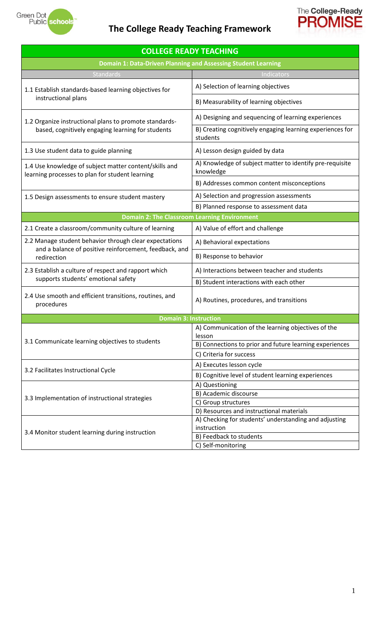

# **The College Ready Teaching Framework**



| <b>COLLEGE READY TEACHING</b>                                                                             |                                                                                                   |  |  |  |  |  |
|-----------------------------------------------------------------------------------------------------------|---------------------------------------------------------------------------------------------------|--|--|--|--|--|
| <b>Domain 1: Data-Driven Planning and Assessing Student Learning</b>                                      |                                                                                                   |  |  |  |  |  |
| <b>Standards</b>                                                                                          | Indicators                                                                                        |  |  |  |  |  |
| 1.1 Establish standards-based learning objectives for                                                     | A) Selection of learning objectives                                                               |  |  |  |  |  |
| instructional plans                                                                                       | B) Measurability of learning objectives                                                           |  |  |  |  |  |
| 1.2 Organize instructional plans to promote standards-                                                    | A) Designing and sequencing of learning experiences                                               |  |  |  |  |  |
| based, cognitively engaging learning for students                                                         | B) Creating cognitively engaging learning experiences for<br>students                             |  |  |  |  |  |
| 1.3 Use student data to guide planning                                                                    | A) Lesson design guided by data                                                                   |  |  |  |  |  |
| 1.4 Use knowledge of subject matter content/skills and<br>learning processes to plan for student learning | A) Knowledge of subject matter to identify pre-requisite<br>knowledge                             |  |  |  |  |  |
|                                                                                                           | B) Addresses common content misconceptions                                                        |  |  |  |  |  |
| 1.5 Design assessments to ensure student mastery                                                          | A) Selection and progression assessments                                                          |  |  |  |  |  |
|                                                                                                           | B) Planned response to assessment data                                                            |  |  |  |  |  |
| <b>Domain 2: The Classroom Learning Environment</b>                                                       |                                                                                                   |  |  |  |  |  |
| 2.1 Create a classroom/community culture of learning                                                      | A) Value of effort and challenge                                                                  |  |  |  |  |  |
| 2.2 Manage student behavior through clear expectations                                                    | A) Behavioral expectations                                                                        |  |  |  |  |  |
| and a balance of positive reinforcement, feedback, and<br>redirection                                     | B) Response to behavior                                                                           |  |  |  |  |  |
| 2.3 Establish a culture of respect and rapport which                                                      | A) Interactions between teacher and students                                                      |  |  |  |  |  |
| supports students' emotional safety                                                                       | B) Student interactions with each other                                                           |  |  |  |  |  |
| 2.4 Use smooth and efficient transitions, routines, and<br>procedures                                     | A) Routines, procedures, and transitions                                                          |  |  |  |  |  |
| <b>Domain 3: Instruction</b>                                                                              |                                                                                                   |  |  |  |  |  |
|                                                                                                           | A) Communication of the learning objectives of the<br>lesson                                      |  |  |  |  |  |
| 3.1 Communicate learning objectives to students                                                           | B) Connections to prior and future learning experiences                                           |  |  |  |  |  |
|                                                                                                           | C) Criteria for success                                                                           |  |  |  |  |  |
| 3.2 Facilitates Instructional Cycle                                                                       | A) Executes lesson cycle                                                                          |  |  |  |  |  |
|                                                                                                           | B) Cognitive level of student learning experiences                                                |  |  |  |  |  |
|                                                                                                           | A) Questioning                                                                                    |  |  |  |  |  |
| 3.3 Implementation of instructional strategies                                                            | B) Academic discourse                                                                             |  |  |  |  |  |
|                                                                                                           | C) Group structures                                                                               |  |  |  |  |  |
|                                                                                                           | D) Resources and instructional materials<br>A) Checking for students' understanding and adjusting |  |  |  |  |  |
|                                                                                                           | instruction                                                                                       |  |  |  |  |  |
| 3.4 Monitor student learning during instruction                                                           | B) Feedback to students                                                                           |  |  |  |  |  |
|                                                                                                           | C) Self-monitoring                                                                                |  |  |  |  |  |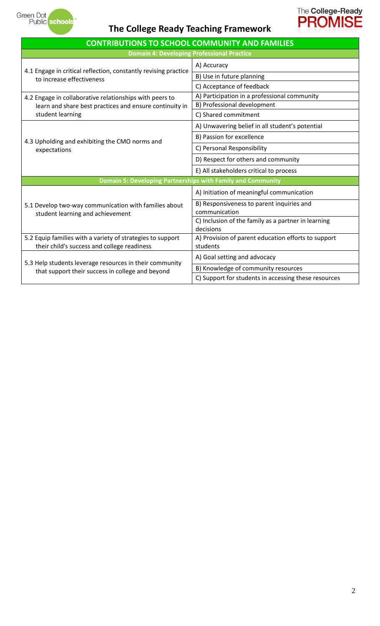

# **The College Ready Teaching Framework**



| <b>CONTRIBUTIONS TO SCHOOL COMMUNITY AND FAMILIES</b>                                     |                                                                  |  |  |  |  |
|-------------------------------------------------------------------------------------------|------------------------------------------------------------------|--|--|--|--|
| <b>Domain 4: Developing Professional Practice</b>                                         |                                                                  |  |  |  |  |
| 4.1 Engage in critical reflection, constantly revising practice                           | A) Accuracy                                                      |  |  |  |  |
| to increase effectiveness                                                                 | B) Use in future planning                                        |  |  |  |  |
|                                                                                           | C) Acceptance of feedback                                        |  |  |  |  |
| 4.2 Engage in collaborative relationships with peers to                                   | A) Participation in a professional community                     |  |  |  |  |
| learn and share best practices and ensure continuity in                                   | B) Professional development                                      |  |  |  |  |
| student learning                                                                          | C) Shared commitment                                             |  |  |  |  |
|                                                                                           | A) Unwavering belief in all student's potential                  |  |  |  |  |
| 4.3 Upholding and exhibiting the CMO norms and                                            | B) Passion for excellence                                        |  |  |  |  |
| expectations                                                                              | C) Personal Responsibility                                       |  |  |  |  |
|                                                                                           | D) Respect for others and community                              |  |  |  |  |
|                                                                                           | E) All stakeholders critical to process                          |  |  |  |  |
| Domain 5: Developing Partnerships with Family and Community                               |                                                                  |  |  |  |  |
|                                                                                           | A) Initiation of meaningful communication                        |  |  |  |  |
| 5.1 Develop two-way communication with families about<br>student learning and achievement | B) Responsiveness to parent inquiries and<br>communication       |  |  |  |  |
|                                                                                           | C) Inclusion of the family as a partner in learning<br>decisions |  |  |  |  |
| 5.2 Equip families with a variety of strategies to support                                | A) Provision of parent education efforts to support              |  |  |  |  |
| their child's success and college readiness                                               | students                                                         |  |  |  |  |
| 5.3 Help students leverage resources in their community                                   | A) Goal setting and advocacy                                     |  |  |  |  |
| that support their success in college and beyond                                          | B) Knowledge of community resources                              |  |  |  |  |
|                                                                                           | C) Support for students in accessing these resources             |  |  |  |  |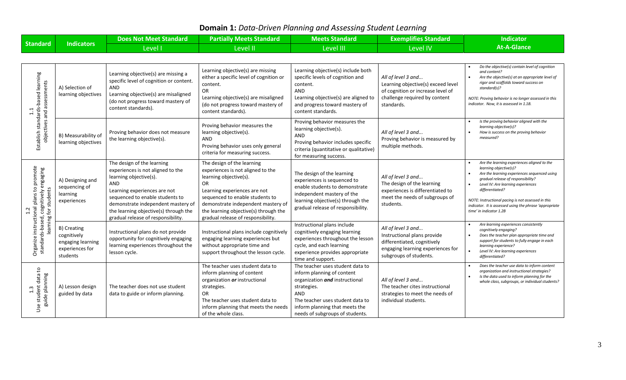## **Domain 1:** *Data-Driven Planning and Assessing Student Learning*

|                                                                                                                                |                                                                                | <b>Does Not Meet Standard</b>                                                                                                                                                                                                                                                                   | <b>Partially Meets Standard</b>                                                                                                                                                                                                                                                                | <b>Meets Standard</b>                                                                                                                                                                                                           | <b>Exemplifies Standard</b>                                                                                                                     | <b>Indicator</b>                                                                                                                                                                                                                                                                                                                                                 |
|--------------------------------------------------------------------------------------------------------------------------------|--------------------------------------------------------------------------------|-------------------------------------------------------------------------------------------------------------------------------------------------------------------------------------------------------------------------------------------------------------------------------------------------|------------------------------------------------------------------------------------------------------------------------------------------------------------------------------------------------------------------------------------------------------------------------------------------------|---------------------------------------------------------------------------------------------------------------------------------------------------------------------------------------------------------------------------------|-------------------------------------------------------------------------------------------------------------------------------------------------|------------------------------------------------------------------------------------------------------------------------------------------------------------------------------------------------------------------------------------------------------------------------------------------------------------------------------------------------------------------|
| <b>Standard</b>                                                                                                                | <b>Indicators</b>                                                              | Level I                                                                                                                                                                                                                                                                                         | Level II                                                                                                                                                                                                                                                                                       | Level III                                                                                                                                                                                                                       | <b>Level IV</b>                                                                                                                                 | <b>At-A-Glance</b>                                                                                                                                                                                                                                                                                                                                               |
|                                                                                                                                |                                                                                |                                                                                                                                                                                                                                                                                                 |                                                                                                                                                                                                                                                                                                |                                                                                                                                                                                                                                 |                                                                                                                                                 |                                                                                                                                                                                                                                                                                                                                                                  |
| Establish standards-based learning<br>objectives and assessments                                                               | A) Selection of<br>learning objectives                                         | Learning objective(s) are missing a<br>specific level of cognition or content.<br>AND<br>Learning objective(s) are misaligned<br>(do not progress toward mastery of<br>content standards).                                                                                                      | Learning objective(s) are missing<br>either a specific level of cognition or<br>content.<br>OR<br>Learning objective(s) are misaligned<br>(do not progress toward mastery of<br>content standards).                                                                                            | Learning objective(s) include both<br>specific levels of cognition and<br>content.<br>AND<br>Learning objective(s) are aligned to<br>and progress toward mastery of<br>content standards.                                       | All of level 3 and<br>Learning objective(s) exceed level<br>of cognition or increase level of<br>challenge required by content<br>standards.    | Do the objective(s) contain level of cognition<br>and content?<br>Are the objective(s) at an appropriate level of<br>rigor and scaffolds toward success on<br>standard(s)?<br>NOTE: Proving behavior is no longer assessed in this<br>indicator. Now, it is assessed in 1.1B.                                                                                    |
|                                                                                                                                | B) Measurability of<br>learning objectives                                     | Proving behavior does not measure<br>the learning objective(s).                                                                                                                                                                                                                                 | Proving behavior measures the<br>learning objective(s).<br><b>AND</b><br>Proving behavior uses only general<br>criteria for measuring success.                                                                                                                                                 | Proving behavior measures the<br>learning objective(s).<br>AND<br>Proving behavior includes specific<br>criteria (quantitative or qualitative)<br>for measuring success.                                                        | All of level 3 and<br>Proving behavior is measured by<br>multiple methods.                                                                      | Is the proving behavior aligned with the<br>learning objective(s)?<br>How is success on the proving behavior<br>measured?                                                                                                                                                                                                                                        |
| plans to promote<br>cognitively engaging<br>for students<br>Organize instructional<br>standards-based, cogi<br>2.i<br>learning | A) Designing and<br>sequencing of<br>learning<br>experiences                   | The design of the learning<br>experiences is not aligned to the<br>learning objective(s).<br><b>AND</b><br>Learning experiences are not<br>sequenced to enable students to<br>demonstrate independent mastery of<br>the learning objective(s) through the<br>gradual release of responsibility. | The design of the learning<br>experiences is not aligned to the<br>learning objective(s).<br><b>OR</b><br>Learning experiences are not<br>sequenced to enable students to<br>demonstrate independent mastery of<br>the learning objective(s) through the<br>gradual release of responsibility. | The design of the learning<br>experiences is sequenced to<br>enable students to demonstrate<br>independent mastery of the<br>learning objective(s) through the<br>gradual release of responsibility.                            | All of level 3 and<br>The design of the learning<br>experiences is differentiated to<br>meet the needs of subgroups of<br>students.             | Are the learning experiences aligned to the<br>learning objective(s)?<br>Are the learning experiences sequenced using<br>gradual release of responsibility?<br>Level IV: Are learning experiences<br>differentiated?<br>NOTE: Instructional pacing is not assessed in this<br>indicator. It is assessed using the phrase 'appropriate<br>time' in indicator 1.2B |
|                                                                                                                                | B) Creating<br>cognitively<br>engaging learning<br>experiences for<br>students | Instructional plans do not provide<br>opportunity for cognitively engaging<br>learning experiences throughout the<br>lesson cycle.                                                                                                                                                              | Instructional plans include cognitively<br>engaging learning experiences but<br>without appropriate time and<br>support throughout the lesson cycle.                                                                                                                                           | Instructional plans include<br>cognitively engaging learning<br>experiences throughout the lesson<br>cycle, and each learning<br>experience provides appropriate<br>time and support.                                           | All of level 3 and<br>Instructional plans provide<br>differentiated, cognitively<br>engaging learning experiences for<br>subgroups of students. | Are learning experiences consistently<br>cognitively engaging?<br>Does the teacher plan appropriate time and<br>support for students to fully engage in each<br>learning experience?<br>Level IV: Are learning experiences<br>differentiated?                                                                                                                    |
| Use student data to<br>guide planning                                                                                          | A) Lesson design<br>guided by data                                             | The teacher does not use student<br>data to guide or inform planning.                                                                                                                                                                                                                           | The teacher uses student data to<br>inform planning of content<br>organization or instructional<br>strategies.<br><b>OR</b><br>The teacher uses student data to<br>inform planning that meets the needs<br>of the whole class.                                                                 | The teacher uses student data to<br>inform planning of content<br>organization and instructional<br>strategies.<br>AND<br>The teacher uses student data to<br>inform planning that meets the<br>needs of subgroups of students. | All of level 3 and<br>The teacher cites instructional<br>strategies to meet the needs of<br>individual students.                                | Does the teacher use data to inform content<br>organization and instructional strategies?<br>Is the data used to inform planning for the<br>whole class, subgroups, or individual students?                                                                                                                                                                      |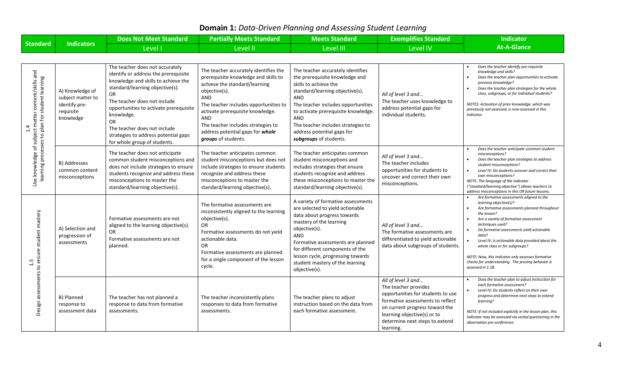## **Domain 1:** *Data-Driven Planning and Assessing Student Learning*

|                                                                                                                 |                                                                                 | <b>Does Not Meet Standard</b>                                                                                                                                                                                                                                                                                                                                  | <b>Partially Meets Standard</b>                                                                                                                                                                                                                                                                                             | <b>Meets Standard</b>                                                                                                                                                                                                                                                                                                     | <b>Exemplifies Standard</b>                                                                                                                                                                                                         | <b>Indicator</b>                                                                                                                                                                                                                                                                                                                                                                                                                                                                     |
|-----------------------------------------------------------------------------------------------------------------|---------------------------------------------------------------------------------|----------------------------------------------------------------------------------------------------------------------------------------------------------------------------------------------------------------------------------------------------------------------------------------------------------------------------------------------------------------|-----------------------------------------------------------------------------------------------------------------------------------------------------------------------------------------------------------------------------------------------------------------------------------------------------------------------------|---------------------------------------------------------------------------------------------------------------------------------------------------------------------------------------------------------------------------------------------------------------------------------------------------------------------------|-------------------------------------------------------------------------------------------------------------------------------------------------------------------------------------------------------------------------------------|--------------------------------------------------------------------------------------------------------------------------------------------------------------------------------------------------------------------------------------------------------------------------------------------------------------------------------------------------------------------------------------------------------------------------------------------------------------------------------------|
| <b>Standard</b>                                                                                                 | <b>Indicators</b>                                                               | Level I                                                                                                                                                                                                                                                                                                                                                        | Level II                                                                                                                                                                                                                                                                                                                    | Level III                                                                                                                                                                                                                                                                                                                 | <b>Level IV</b>                                                                                                                                                                                                                     | <b>At-A-Glance</b>                                                                                                                                                                                                                                                                                                                                                                                                                                                                   |
|                                                                                                                 |                                                                                 |                                                                                                                                                                                                                                                                                                                                                                |                                                                                                                                                                                                                                                                                                                             |                                                                                                                                                                                                                                                                                                                           |                                                                                                                                                                                                                                     |                                                                                                                                                                                                                                                                                                                                                                                                                                                                                      |
| Use knowledge of subject matter content/skills and<br>learning processes to plan for student learning<br>$\div$ | A) Knowledge of<br>subject matter to<br>identify pre-<br>requisite<br>knowledge | The teacher does not accurately<br>identify or address the prerequisite<br>knowledge and skills to achieve the<br>standard/learning objective(s).<br>OR.<br>The teacher does not include<br>opportunities to activate prerequisite<br>knowledge.<br>OR<br>The teacher does not include<br>strategies to address potential gaps<br>for whole group of students. | The teacher accurately identifies the<br>prerequisite knowledge and skills to<br>achieve the standard/learning<br>objective(s).<br>AND<br>The teacher includes opportunities to<br>activate prerequisite knowledge.<br>AND<br>The teacher includes strategies to<br>address potential gaps for whole<br>groups of students. | The teacher accurately identifies<br>the prerequisite knowledge and<br>skills to achieve the<br>standard/learning objective(s).<br>AND<br>The teacher includes opportunities<br>to activate prerequisite knowledge.<br>AND<br>The teacher includes strategies to<br>address potential gaps for<br>subgroups of students.  | All of level 3 and<br>The teacher uses knowledge to<br>address potential gaps for<br>individual students.                                                                                                                           | Does the teacher identify pre-requisite<br>knowledge and skills?<br>Does the teacher plan opportunities to activate<br>previous knowledge?<br>Does the teacher plan strategies for the whole<br>class, subgroups, or for individual students?<br>NOTES: Activation of prior knowledge, which was<br>previously not assessed, is now assessed in this<br>indicator.                                                                                                                   |
|                                                                                                                 | B) Addresses<br>common content<br>misconceptions                                | The teacher does not anticipate<br>common student misconceptions and<br>does not include strategies to ensure<br>students recognize and address these<br>misconceptions to master the<br>standard/learning objective(s).                                                                                                                                       | The teacher anticipates common<br>student misconceptions but does not<br>include strategies to ensure students<br>recognize and address these<br>misconceptions to master the<br>standard/learning objective(s).                                                                                                            | The teacher anticipates common<br>student misconceptions and<br>includes strategies that ensure<br>students recognize and address<br>these misconceptions to master the<br>standard/learning objective(s).                                                                                                                | All of level 3 and<br>The teacher includes<br>opportunities for students to<br>uncover and correct their own<br>misconceptions.                                                                                                     | Does the teacher anticipate common student<br>misconceptions?<br>Does the teacher plan strategies to address<br>student misconceptions?<br>Level IV: Do students uncover and correct their<br>$\bullet$<br>own misconceptions?<br>NOTE: The language of the indicator<br>("standard/learning objective") allows teachers to<br>address misconceptions in this OR future lessons.                                                                                                     |
| Design assessments to ensure student mastery                                                                    | A) Selection and<br>progression of<br>assessments                               | Formative assessments are not<br>aligned to the learning objective(s).<br>OR<br>Formative assessments are not<br>planned.                                                                                                                                                                                                                                      | The formative assessments are<br>inconsistently aligned to the learning<br>objective(s).<br>OR<br>Formative assessments do not yield<br>actionable data.<br>OR<br>Formative assessments are planned<br>for a single component of the lesson<br>cycle.                                                                       | A variety of formative assessments<br>are selected to yield actionable<br>data about progress towards<br>mastery of the learning<br>objective(s).<br>AND<br>Formative assessments are planned<br>for different components of the<br>lesson cycle, progressing towards<br>student mastery of the learning<br>objective(s). | All of level 3 and<br>The formative assessments are<br>differentiated to yield actionable<br>data about subgroups of students.                                                                                                      | Are formative assessments aligned to the<br>learning objective(s)?<br>Are formative assessments planned throughout<br>the lesson?<br>Are a variety of formative assessment<br>techniques used?<br>Do formative assessments yield actionable<br>$\bullet$<br>data?<br>Level IV: Is actionable data provided about the<br>whole class or for subgroups?<br>NOTE: Now, this indicator only assesses formative<br>checks for understanding. The proving behavior is<br>assessed in 1.1B. |
|                                                                                                                 | B) Planned<br>response to<br>assessment data                                    | The teacher has not planned a<br>response to data from formative<br>assessments.                                                                                                                                                                                                                                                                               | The teacher inconsistently plans<br>responses to data from formative<br>assessments.                                                                                                                                                                                                                                        | The teacher plans to adjust<br>instruction based on the data from<br>each formative assessment.                                                                                                                                                                                                                           | All of level 3 and<br>The teacher provides<br>opportunities for students to use<br>formative assessments to reflect<br>on current progress toward the<br>learning objective(s) or to<br>determine next steps to extend<br>learning. | Does the teacher plan to adjust instruction for<br>each formative assessment?<br>Level IV: Do students reflect on their own<br>progress and determine next steps to extend<br>learning?<br>NOTE: If not included explicitly in the lesson plan, this<br>indicator may be assessed via verbal questioning in the<br>observation pre-conference.                                                                                                                                       |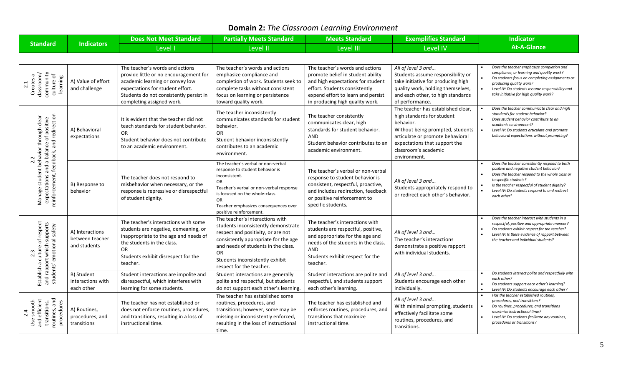## **Domain 2:** *The Classroom Learning Environment*

|                                                                                                                                            |                                                    | <b>Does Not Meet Standard</b>                                                                                                                                                                                            | <b>Partially Meets Standard</b>                                                                                                                                                                                                                                         | <b>Meets Standard</b>                                                                                                                                                                                               | <b>Exemplifies Standard</b>                                                                                                                                                                                                    | <b>Indicator</b>                                                                                                                                                                                                                                                                     |
|--------------------------------------------------------------------------------------------------------------------------------------------|----------------------------------------------------|--------------------------------------------------------------------------------------------------------------------------------------------------------------------------------------------------------------------------|-------------------------------------------------------------------------------------------------------------------------------------------------------------------------------------------------------------------------------------------------------------------------|---------------------------------------------------------------------------------------------------------------------------------------------------------------------------------------------------------------------|--------------------------------------------------------------------------------------------------------------------------------------------------------------------------------------------------------------------------------|--------------------------------------------------------------------------------------------------------------------------------------------------------------------------------------------------------------------------------------------------------------------------------------|
| <b>Standard</b>                                                                                                                            | <b>Indicators</b>                                  | Level I                                                                                                                                                                                                                  | Level II                                                                                                                                                                                                                                                                | <b>Level III</b>                                                                                                                                                                                                    | <b>Level IV</b>                                                                                                                                                                                                                | <b>At-A-Glance</b>                                                                                                                                                                                                                                                                   |
|                                                                                                                                            |                                                    |                                                                                                                                                                                                                          |                                                                                                                                                                                                                                                                         |                                                                                                                                                                                                                     |                                                                                                                                                                                                                                |                                                                                                                                                                                                                                                                                      |
| community<br>Creates a<br>classroom/<br>culture of<br>learning<br>2.1                                                                      | A) Value of effort<br>and challenge                | The teacher's words and actions<br>provide little or no encouragement for<br>academic learning or convey low<br>expectations for student effort.<br>Students do not consistently persist in<br>completing assigned work. | The teacher's words and actions<br>emphasize compliance and<br>completion of work. Students seek to<br>complete tasks without consistent<br>focus on learning or persistence<br>toward quality work.                                                                    | The teacher's words and actions<br>promote belief in student ability<br>and high expectations for student<br>effort. Students consistently<br>expend effort to learn and persist<br>in producing high quality work. | All of level 3 and<br>Students assume responsibility or<br>take initiative for producing high<br>quality work, holding themselves,<br>and each other, to high standards<br>of performance.                                     | Does the teacher emphasize completion and<br>compliance, or learning and quality work?<br>Do students focus on completing assignments or<br>producing quality work?<br>Level IV: Do students assume responsibility and<br>take initiative for high quality work?                     |
| feedback, and redirection<br>clear<br>and a balance of positive<br>behavior through<br>student<br>reinforcement,<br>expectations<br>Manage | A) Behavioral<br>expectations                      | It is evident that the teacher did not<br>teach standards for student behavior.<br>OR<br>Student behavior does not contribute<br>to an academic environment.                                                             | The teacher inconsistently<br>communicates standards for student<br>behavior.<br>OR<br>Student behavior inconsistently<br>contributes to an academic<br>environment.                                                                                                    | The teacher consistently<br>communicates clear, high<br>standards for student behavior.<br><b>AND</b><br>Student behavior contributes to an<br>academic environment.                                                | The teacher has established clear,<br>high standards for student<br>behavior.<br>Without being prompted, students<br>articulate or promote behavioral<br>expectations that support the<br>classroom's academic<br>environment. | Does the teacher communicate clear and high<br>standards for student behavior?<br>Does student behavior contribute to an<br>academic environment?<br>Level IV: Do students articulate and promote<br>behavioral expectations without prompting?                                      |
|                                                                                                                                            | B) Response to<br>behavior                         | The teacher does not respond to<br>misbehavior when necessary, or the<br>response is repressive or disrespectful<br>of student dignity.                                                                                  | The teacher's verbal or non-verbal<br>response to student behavior is<br>inconsistent.<br><b>OR</b><br>Teacher's verbal or non-verbal response<br>is focused on the whole-class.<br><b>OR</b><br>Teacher emphasizes consequences over<br>positive reinforcement.        | The teacher's verbal or non-verbal<br>response to student behavior is<br>consistent, respectful, proactive,<br>and includes redirection, feedback<br>or positive reinforcement to<br>specific students.             | All of level 3 and<br>Students appropriately respond to<br>or redirect each other's behavior.                                                                                                                                  | Does the teacher consistently respond to both<br>positive and negative student behavior?<br>Does the teacher respond to the whole class or<br>to specific students?<br>Is the teacher respectful of student dignity?<br>Level IV: Do students respond to and redirect<br>each other? |
| respect<br>and rapport which supports<br>students' emotional safety<br>$\mathsf{b}$<br>culture<br>g                                        | A) Interactions<br>between teacher<br>and students | The teacher's interactions with some<br>students are negative, demeaning, or<br>inappropriate to the age and needs of<br>the students in the class.<br>OR<br>Students exhibit disrespect for the<br>teacher.             | The teacher's interactions with<br>students inconsistently demonstrate<br>respect and positivity, or are not<br>consistently appropriate for the age<br>and needs of students in the class.<br><b>OR</b><br>Students inconsistently exhibit<br>respect for the teacher. | The teacher's interactions with<br>students are respectful, positive,<br>and appropriate for the age and<br>needs of the students in the class.<br>AND<br>Students exhibit respect for the<br>teacher.              | All of level 3 and<br>The teacher's interactions<br>demonstrate a positive rapport<br>with individual students.                                                                                                                | Does the teacher interact with students in a<br>respectful, positive and appropriate manner?<br>Do students exhibit respect for the teacher?<br>Level IV: Is there evidence of rapport between<br>the teacher and individual students?                                               |
| Establish                                                                                                                                  | B) Student<br>interactions with<br>each other      | Student interactions are impolite and<br>disrespectful, which interferes with<br>learning for some students.                                                                                                             | Student interactions are generally<br>polite and respectful, but students<br>do not support each other's learning.                                                                                                                                                      | Student interactions are polite and<br>respectful, and students support<br>each other's learning.                                                                                                                   | All of level 3 and<br>Students encourage each other<br>individually.                                                                                                                                                           | Do students interact polite and respectfully with<br>each other?<br>Do students support each other's learning?<br>Level IV: Do students encourage each other?                                                                                                                        |
| outines, and<br>2.4<br>smooth<br>efficient<br>procedures<br>transitions,<br>Use<br>and                                                     | A) Routines,<br>procedures, and<br>transitions     | The teacher has not established or<br>does not enforce routines, procedures,<br>and transitions, resulting in a loss of<br>instructional time.                                                                           | The teacher has established some<br>routines, procedures, and<br>transitions; however, some may be<br>missing or inconsistently enforced,<br>resulting in the loss of instructional<br>time.                                                                            | The teacher has established and<br>enforces routines, procedures, and<br>transitions that maximize<br>instructional time.                                                                                           | All of level 3 and<br>With minimal prompting, students<br>effectively facilitate some<br>routines, procedures, and<br>transitions.                                                                                             | Has the teacher established routines,<br>procedures, and transitions?<br>Do routines, procedures, and transitions<br>maximize instructional time?<br>Level IV: Do students facilitate any routines,<br>procedures or transitions?                                                    |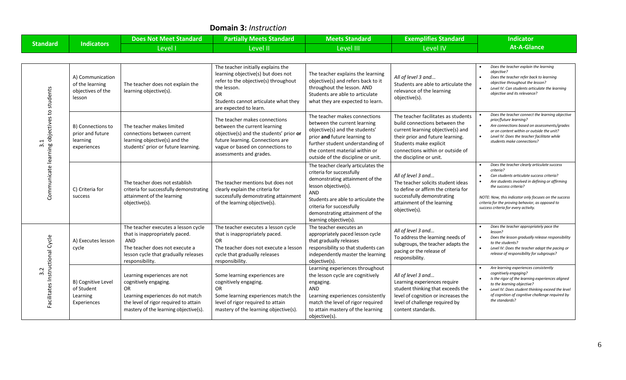#### **Domain 3:** *Instruction*

| Standard ˈ | <b>Indicators</b> | Does Not Meet Standard | <b>Partially Meets Standard</b> | <b>Meets Standard</b> | <b>Exemplifies Standard</b>   | Indicator          |
|------------|-------------------|------------------------|---------------------------------|-----------------------|-------------------------------|--------------------|
|            |                   | Level I                | Level II                        | evel III              | <b><i><u>Level</u></i></b> IV | <b>At-A-Glance</b> |

| Communicate learning objectives to students<br>3.1 | A) Communication<br>of the learning<br>objectives of the<br>lesson | The teacher does not explain the<br>learning objective(s).                                                                                                                          | The teacher initially explains the<br>learning objective(s) but does not<br>refer to the objective(s) throughout<br>the lesson.<br>OR.<br>Students cannot articulate what they<br>are expected to learn.    | The teacher explains the learning<br>objective(s) and refers back to it<br>throughout the lesson. AND<br>Students are able to articulate<br>what they are expected to learn.                                                                                        | All of level 3 and<br>Students are able to articulate the<br>relevance of the learning<br>objective(s).                                                                                                                                | Does the teacher explain the learning<br>objective?<br>Does the teacher refer back to learning<br>objective throughout the lesson?<br>Level IV: Can students articulate the learning<br>objective and its relevance?                                                                                                                  |
|----------------------------------------------------|--------------------------------------------------------------------|-------------------------------------------------------------------------------------------------------------------------------------------------------------------------------------|-------------------------------------------------------------------------------------------------------------------------------------------------------------------------------------------------------------|---------------------------------------------------------------------------------------------------------------------------------------------------------------------------------------------------------------------------------------------------------------------|----------------------------------------------------------------------------------------------------------------------------------------------------------------------------------------------------------------------------------------|---------------------------------------------------------------------------------------------------------------------------------------------------------------------------------------------------------------------------------------------------------------------------------------------------------------------------------------|
|                                                    | B) Connections to<br>prior and future<br>learning<br>experiences   | The teacher makes limited<br>connections between current<br>learning objective(s) and the<br>students' prior or future learning.                                                    | The teacher makes connections<br>between the current learning<br>objective(s) and the students' prior or<br>future learning. Connections are<br>vague or based on connections to<br>assessments and grades. | The teacher makes connections<br>between the current learning<br>objective(s) and the students'<br>prior and future learning to<br>further student understanding of<br>the content material within or<br>outside of the discipline or unit.                         | The teacher facilitates as students<br>build connections between the<br>current learning objective(s) and<br>their prior and future learning.<br>Students make explicit<br>connections within or outside of<br>the discipline or unit. | Does the teacher connect the learning objective<br>prior/future learning?<br>Are connections based on assessments/grades<br>or on content within or outside the unit?<br>Level IV: Does the teacher facilitate while<br>students make connections?                                                                                    |
|                                                    | C) Criteria for<br>success                                         | The teacher does not establish<br>criteria for successfully demonstrating<br>attainment of the learning<br>objective(s).                                                            | The teacher mentions but does not<br>clearly explain the criteria for<br>successfully demonstrating attainment<br>of the learning objective(s).                                                             | The teacher clearly articulates the<br>criteria for successfully<br>demonstrating attainment of the<br>lesson objective(s).<br>AND<br>Students are able to articulate the<br>criteria for successfully<br>demonstrating attainment of the<br>learning objective(s). | All of level 3 and<br>The teacher solicits student ideas<br>to define or affirm the criteria for<br>successfully demonstrating<br>attainment of the learning<br>objective(s).                                                          | Does the teacher clearly articulate success<br>criteria?<br>Can students articulate success criteria?<br>Are students involved in defining or affirming<br>the success criteria?<br>NOTE: Now, this indicator only focuses on the success<br>criteria for the proving behavior, as opposed to<br>success criteria for every activity. |
| Facilitates Instructional Cycle<br>3.2             | A) Executes lesson<br>cycle                                        | The teacher executes a lesson cycle<br>that is inappropriately paced.<br>AND<br>The teacher does not execute a<br>lesson cycle that gradually releases<br>responsibility.           | The teacher executes a lesson cycle<br>that is inappropriately paced.<br><b>OR</b><br>The teacher does not execute a lesson<br>cycle that gradually releases<br>responsibility.                             | The teacher executes an<br>appropriately paced lesson cycle<br>that gradually releases<br>responsibility so that students can<br>independently master the learning<br>objective(s).                                                                                 | All of level 3 and<br>To address the learning needs of<br>subgroups, the teacher adapts the<br>pacing or the release of<br>responsibility.                                                                                             | Does the teacher appropriately pace the<br>lesson?<br>Does the lesson gradually release responsibility<br>to the students?<br>Level IV: Does the teacher adapt the pacing or<br>release of responsibility for subgroups?                                                                                                              |
|                                                    | B) Cognitive Level<br>of Student<br>Learning<br>Experiences        | Learning experiences are not<br>cognitively engaging.<br>OR.<br>Learning experiences do not match<br>the level of rigor required to attain<br>mastery of the learning objective(s). | Some learning experiences are<br>cognitively engaging.<br><b>OR</b><br>Some learning experiences match the<br>level of rigor required to attain<br>mastery of the learning objective(s).                    | Learning experiences throughout<br>the lesson cycle are cognitively<br>engaging.<br>AND<br>Learning experiences consistently<br>match the level of rigor required<br>to attain mastery of the learning<br>objective(s).                                             | All of level 3 and<br>Learning experiences require<br>student thinking that exceeds the<br>level of cognition or increases the<br>level of challenge required by<br>content standards.                                                 | Are learning experiences consistently<br>cognitively engaging?<br>Is the rigor of the learning experiences aligned<br>to the learning objective?<br>Level IV: Does student thinking exceed the level<br>of cognition of cognitive challenge required by<br>the standards?                                                             |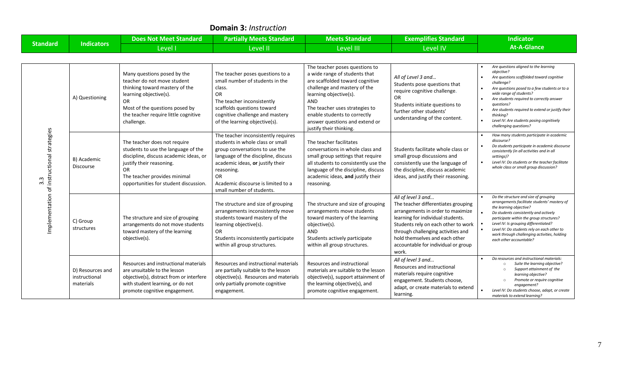| <b>DUINAIN J.</b> MISU UCUUN                                     |                                                |                                                                                                                                                                                                                                 |                                                                                                                                                                                                                                                                             |                                                                                                                                                                                                                                                                                                           |                                                                                                                                                                                                                                                                                                    |                                                                                                                                                                                                                                                                                                                                                                                                    |
|------------------------------------------------------------------|------------------------------------------------|---------------------------------------------------------------------------------------------------------------------------------------------------------------------------------------------------------------------------------|-----------------------------------------------------------------------------------------------------------------------------------------------------------------------------------------------------------------------------------------------------------------------------|-----------------------------------------------------------------------------------------------------------------------------------------------------------------------------------------------------------------------------------------------------------------------------------------------------------|----------------------------------------------------------------------------------------------------------------------------------------------------------------------------------------------------------------------------------------------------------------------------------------------------|----------------------------------------------------------------------------------------------------------------------------------------------------------------------------------------------------------------------------------------------------------------------------------------------------------------------------------------------------------------------------------------------------|
|                                                                  |                                                | <b>Does Not Meet Standard</b>                                                                                                                                                                                                   | <b>Partially Meets Standard</b>                                                                                                                                                                                                                                             | <b>Meets Standard</b>                                                                                                                                                                                                                                                                                     | <b>Exemplifies Standard</b>                                                                                                                                                                                                                                                                        | <b>Indicator</b>                                                                                                                                                                                                                                                                                                                                                                                   |
| <b>Standard</b>                                                  | <b>Indicators</b>                              | Level I                                                                                                                                                                                                                         | Level II                                                                                                                                                                                                                                                                    | Level III                                                                                                                                                                                                                                                                                                 | <b>Level IV</b>                                                                                                                                                                                                                                                                                    | <b>At-A-Glance</b>                                                                                                                                                                                                                                                                                                                                                                                 |
|                                                                  |                                                |                                                                                                                                                                                                                                 |                                                                                                                                                                                                                                                                             |                                                                                                                                                                                                                                                                                                           |                                                                                                                                                                                                                                                                                                    |                                                                                                                                                                                                                                                                                                                                                                                                    |
| instructional strategies<br>$3.\overline{3}$<br>mplementation of | A) Questioning                                 | Many questions posed by the<br>teacher do not move student<br>thinking toward mastery of the<br>learning objective(s).<br>OR.<br>Most of the questions posed by<br>the teacher require little cognitive<br>challenge.           | The teacher poses questions to a<br>small number of students in the<br>class.<br><b>OR</b><br>The teacher inconsistently<br>scaffolds questions toward<br>cognitive challenge and mastery<br>of the learning objective(s).                                                  | The teacher poses questions to<br>a wide range of students that<br>are scaffolded toward cognitive<br>challenge and mastery of the<br>learning objective(s).<br><b>AND</b><br>The teacher uses strategies to<br>enable students to correctly<br>answer questions and extend or<br>justify their thinking. | All of Level 3 and<br>Students pose questions that<br>require cognitive challenge.<br><b>OR</b><br>Students initiate questions to<br>further other students'<br>understanding of the content.                                                                                                      | Are questions aligned to the learning<br>objective?<br>Are questions scaffolded toward cognitive<br>challenae?<br>Are questions posed to a few students or to a<br>wide range of students?<br>Are students required to correctly answer<br>questions?<br>Are students required to extend or justify their<br>thinking?<br>Level IV: Are students posing cognitively<br>challenging questions?      |
|                                                                  | B) Academic<br><b>Discourse</b>                | The teacher does not require<br>students to use the language of the<br>discipline, discuss academic ideas, or<br>justify their reasoning.<br><b>OR</b><br>The teacher provides minimal<br>opportunities for student discussion. | The teacher inconsistently requires<br>students in whole class or small<br>group conversations to use the<br>language of the discipline, discuss<br>academic ideas, or justify their<br>reasoning.<br>OR<br>Academic discourse is limited to a<br>small number of students. | The teacher facilitates<br>conversations in whole class and<br>small group settings that require<br>all students to consistently use the<br>language of the discipline, discuss<br>academic ideas, and justify their<br>reasoning.                                                                        | Students facilitate whole class or<br>small group discussions and<br>consistently use the language of<br>the discipline, discuss academic<br>ideas, and justify their reasoning.                                                                                                                   | How many students participate in academic<br>discourse?<br>Do students participate in academic discourse<br>consistently (in all activities and in all<br>settings)?<br>Level IV: Do students or the teacher facilitate<br>whole class or small group discussion?                                                                                                                                  |
|                                                                  | C) Group<br>structures                         | The structure and size of grouping<br>arrangements do not move students<br>toward mastery of the learning<br>objective(s).                                                                                                      | The structure and size of grouping<br>arrangements inconsistently move<br>students toward mastery of the<br>learning objective(s).<br><b>OR</b><br>Students inconsistently participate<br>within all group structures.                                                      | The structure and size of grouping<br>arrangements move students<br>toward mastery of the learning<br>objective(s).<br><b>AND</b><br>Students actively participate<br>within all group structures.                                                                                                        | All of level 3 and<br>The teacher differentiates grouping<br>arrangements in order to maximize<br>learning for individual students.<br>Students rely on each other to work<br>through challenging activities and<br>hold themselves and each other<br>accountable for individual or group<br>work. | Do the structure and size of grouping<br>arrangements facilitate students' mastery of<br>the learning objective?<br>Do students consistently and actively<br>participate within the group structures?<br>Level IV: Is grouping differentiated?<br>$\bullet$<br>$\bullet$<br>Level IV: Do students rely on each other to<br>work through challenging activities, holding<br>each other accountable? |
|                                                                  | D) Resources and<br>instructional<br>materials | Resources and instructional materials<br>are unsuitable to the lesson<br>objective(s), distract from or interfere<br>with student learning, or do not<br>promote cognitive engagement.                                          | Resources and instructional materials<br>are partially suitable to the lesson<br>objective(s). Resources and materials<br>only partially promote cognitive<br>engagement.                                                                                                   | Resources and instructional<br>materials are suitable to the lesson<br>objective(s), support attainment of<br>the learning objective(s), and<br>promote cognitive engagement.                                                                                                                             | All of level 3 and<br>Resources and instructional<br>materials require cognitive<br>engagement. Students choose,<br>adapt, or create materials to extend<br>learning.                                                                                                                              | Do resources and instructional materials:<br>Suite the learning objective?<br>$\circ$<br>Support attainment of the<br>$\circ$<br>learning objective?<br>Promote or require cognitive<br>engagement?<br>Level IV: Do students choose, adapt, or create<br>materials to extend learning?                                                                                                             |

#### **Domain 3:** *Instruction*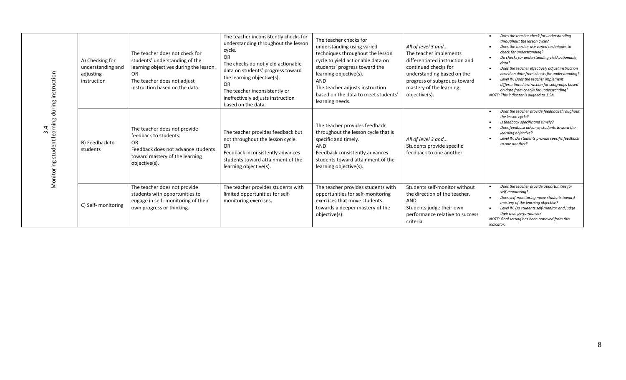| student learning during instruction<br>Monitoring | A) Checking for<br>understanding and<br>adjusting<br>instruction | The teacher does not check for<br>students' understanding of the<br>learning objectives during the lesson.<br><b>OR</b><br>The teacher does not adjust<br>instruction based on the data. | The teacher inconsistently checks for<br>understanding throughout the lesson<br>cycle.<br><b>OR</b><br>The checks do not yield actionable<br>data on students' progress toward<br>the learning objective(s).<br><b>OR</b><br>The teacher inconsistently or<br>ineffectively adjusts instruction<br>based on the data. | The teacher checks for<br>understanding using varied<br>techniques throughout the lesson<br>cycle to yield actionable data on<br>students' progress toward the<br>learning objective(s).<br><b>AND</b><br>The teacher adjusts instruction<br>based on the data to meet students'<br>learning needs. | All of level 3 and<br>The teacher implements<br>differentiated instruction and<br>continued checks for<br>understanding based on the<br>progress of subgroups toward<br>mastery of the learning<br>objective(s). | Does the teacher check for understanding<br>throughout the lesson cycle?<br>Does the teacher use varied techniques to<br>check for understanding?<br>Do checks for understanding yield actionable<br>data?<br>Does the teacher effectively adjust instruction<br>based on data from checks for understanding?<br>Level IV: Does the teacher implement<br>$\bullet$<br>differentiated instruction for subgroups based<br>on data from checks for understanding?<br>NOTE: This indicator is aligned to 1.5A. |
|---------------------------------------------------|------------------------------------------------------------------|------------------------------------------------------------------------------------------------------------------------------------------------------------------------------------------|-----------------------------------------------------------------------------------------------------------------------------------------------------------------------------------------------------------------------------------------------------------------------------------------------------------------------|-----------------------------------------------------------------------------------------------------------------------------------------------------------------------------------------------------------------------------------------------------------------------------------------------------|------------------------------------------------------------------------------------------------------------------------------------------------------------------------------------------------------------------|------------------------------------------------------------------------------------------------------------------------------------------------------------------------------------------------------------------------------------------------------------------------------------------------------------------------------------------------------------------------------------------------------------------------------------------------------------------------------------------------------------|
|                                                   | B) Feedback to<br>students                                       | The teacher does not provide<br>feedback to students.<br><b>OR</b><br>Feedback does not advance students<br>toward mastery of the learning<br>objective(s).                              | The teacher provides feedback but<br>not throughout the lesson cycle.<br><b>OR</b><br>Feedback inconsistently advances<br>students toward attainment of the<br>learning objective(s).                                                                                                                                 | The teacher provides feedback<br>throughout the lesson cycle that is<br>specific and timely.<br>AND<br>Feedback consistently advances<br>students toward attainment of the<br>learning objective(s).                                                                                                | All of level 3 and<br>Students provide specific<br>feedback to one another.                                                                                                                                      | Does the teacher provide feedback throughout<br>the lesson cycle?<br>Is feedback specific and timely?<br>Does feedback advance students toward the<br>learning objective?<br>Level IV: Do students provide specific feedback<br>to one another?                                                                                                                                                                                                                                                            |
|                                                   | C) Self- monitoring                                              | The teacher does not provide<br>students with opportunities to<br>engage in self- monitoring of their<br>own progress or thinking.                                                       | The teacher provides students with<br>limited opportunities for self-<br>monitoring exercises.                                                                                                                                                                                                                        | The teacher provides students with<br>opportunities for self-monitoring<br>exercises that move students<br>towards a deeper mastery of the<br>objective(s).                                                                                                                                         | Students self-monitor without<br>the direction of the teacher.<br><b>AND</b><br>Students judge their own<br>performance relative to success<br>criteria.                                                         | Does the teacher provide opportunities for<br>self-monitoring?<br>Does self-monitoring move students toward<br>$\bullet$<br>mastery of the learning objective?<br>Level IV: Do students self-monitor and judge<br>$\bullet$<br>their own performance?<br>NOTE: Goal setting has been removed from this<br>indicator.                                                                                                                                                                                       |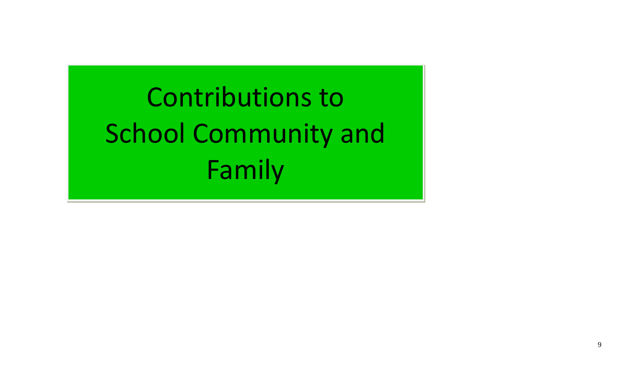Contributions to School Community and Family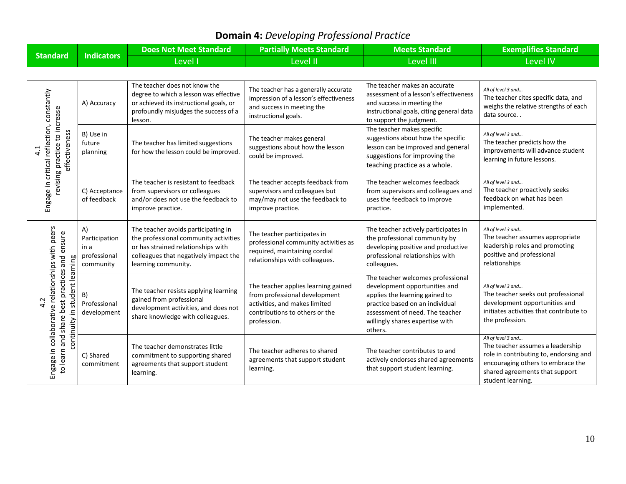## **Domain 4:** *Developing Professional Practice*

|                                                                                                                                              | <b>Indicators</b>                                        | <b>Does Not Meet Standard</b>                                                                                                                                                      | <b>Partially Meets Standard</b>                                                                                                                        | <b>Meets Standard</b>                                                                                                                                                                                                    | <b>Exemplifies Standard</b>                                                                                                                                                                  |
|----------------------------------------------------------------------------------------------------------------------------------------------|----------------------------------------------------------|------------------------------------------------------------------------------------------------------------------------------------------------------------------------------------|--------------------------------------------------------------------------------------------------------------------------------------------------------|--------------------------------------------------------------------------------------------------------------------------------------------------------------------------------------------------------------------------|----------------------------------------------------------------------------------------------------------------------------------------------------------------------------------------------|
| <b>Standard</b>                                                                                                                              |                                                          | Level I                                                                                                                                                                            | <b>Level II</b>                                                                                                                                        | <b>Level III</b>                                                                                                                                                                                                         | <b>Level IV</b>                                                                                                                                                                              |
|                                                                                                                                              |                                                          |                                                                                                                                                                                    |                                                                                                                                                        |                                                                                                                                                                                                                          |                                                                                                                                                                                              |
| Engage in critical reflection, constantly<br>revising practice to increase<br>effectiveness<br>$\frac{1}{4}$                                 | A) Accuracy                                              | The teacher does not know the<br>degree to which a lesson was effective<br>or achieved its instructional goals, or<br>profoundly misjudges the success of a<br>lesson.             | The teacher has a generally accurate<br>impression of a lesson's effectiveness<br>and success in meeting the<br>instructional goals.                   | The teacher makes an accurate<br>assessment of a lesson's effectiveness<br>and success in meeting the<br>instructional goals, citing general data<br>to support the judgment.                                            | All of level 3 and<br>The teacher cites specific data, and<br>weighs the relative strengths of each<br>data source                                                                           |
|                                                                                                                                              | B) Use in<br>future<br>planning                          | The teacher has limited suggestions<br>for how the lesson could be improved.                                                                                                       | The teacher makes general<br>suggestions about how the lesson<br>could be improved.                                                                    | The teacher makes specific<br>suggestions about how the specific<br>lesson can be improved and general<br>suggestions for improving the<br>teaching practice as a whole.                                                 | All of level 3 and<br>The teacher predicts how the<br>improvements will advance student<br>learning in future lessons.                                                                       |
|                                                                                                                                              | C) Acceptance<br>of feedback                             | The teacher is resistant to feedback<br>from supervisors or colleagues<br>and/or does not use the feedback to<br>improve practice.                                                 | The teacher accepts feedback from<br>supervisors and colleagues but<br>may/may not use the feedback to<br>improve practice.                            | The teacher welcomes feedback<br>from supervisors and colleagues and<br>uses the feedback to improve<br>practice.                                                                                                        | All of level 3 and<br>The teacher proactively seeks<br>feedback on what has been<br>implemented.                                                                                             |
| Engage in collaborative relationships with peers<br>to learn and share best practices and ensure<br>student learning<br>4.2<br>continuity in | A)<br>Participation<br>in a<br>professional<br>community | The teacher avoids participating in<br>the professional community activities<br>or has strained relationships with<br>colleagues that negatively impact the<br>learning community. | The teacher participates in<br>professional community activities as<br>required, maintaining cordial<br>relationships with colleagues.                 | The teacher actively participates in<br>the professional community by<br>developing positive and productive<br>professional relationships with<br>colleagues.                                                            | All of level 3 and<br>The teacher assumes appropriate<br>leadership roles and promoting<br>positive and professional<br>relationships                                                        |
|                                                                                                                                              | B)<br>Professional<br>development                        | The teacher resists applying learning<br>gained from professional<br>development activities, and does not<br>share knowledge with colleagues.                                      | The teacher applies learning gained<br>from professional development<br>activities, and makes limited<br>contributions to others or the<br>profession. | The teacher welcomes professional<br>development opportunities and<br>applies the learning gained to<br>practice based on an individual<br>assessment of need. The teacher<br>willingly shares expertise with<br>others. | All of level 3 and<br>The teacher seeks out professional<br>development opportunities and<br>initiates activities that contribute to<br>the profession.                                      |
|                                                                                                                                              | C) Shared<br>commitment                                  | The teacher demonstrates little<br>commitment to supporting shared<br>agreements that support student<br>learning.                                                                 | The teacher adheres to shared<br>agreements that support student<br>learning.                                                                          | The teacher contributes to and<br>actively endorses shared agreements<br>that support student learning.                                                                                                                  | All of level 3 and<br>The teacher assumes a leadership<br>role in contributing to, endorsing and<br>encouraging others to embrace the<br>shared agreements that support<br>student learning. |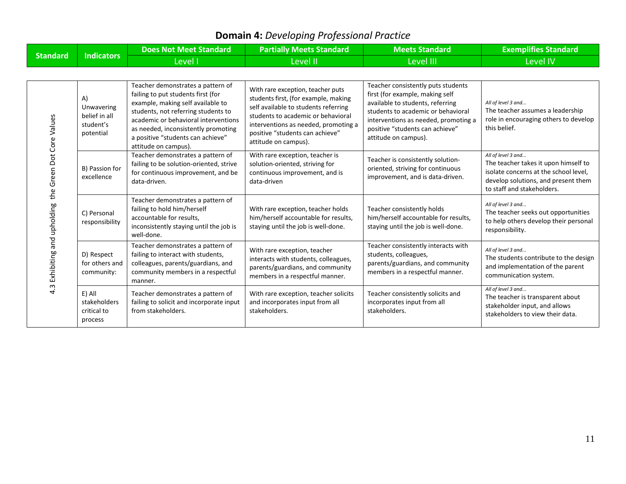## **Domain 4:** *Developing Professional Practice*

|                                                           | <b>Indicators</b>                                           | <b>Does Not Meet Standard</b>                                                                                                                                                                                                                                                                   | <b>Partially Meets Standard</b>                                                                                                                                                                                                                            | <b>Meets Standard</b>                                                                                                                                                                                                                              | <b>Exemplifies Standard</b>                                                                                                                                              |
|-----------------------------------------------------------|-------------------------------------------------------------|-------------------------------------------------------------------------------------------------------------------------------------------------------------------------------------------------------------------------------------------------------------------------------------------------|------------------------------------------------------------------------------------------------------------------------------------------------------------------------------------------------------------------------------------------------------------|----------------------------------------------------------------------------------------------------------------------------------------------------------------------------------------------------------------------------------------------------|--------------------------------------------------------------------------------------------------------------------------------------------------------------------------|
| <b>Standard</b>                                           |                                                             | Level I                                                                                                                                                                                                                                                                                         | Level II                                                                                                                                                                                                                                                   | Level III                                                                                                                                                                                                                                          | <b>Level IV</b>                                                                                                                                                          |
|                                                           |                                                             |                                                                                                                                                                                                                                                                                                 |                                                                                                                                                                                                                                                            |                                                                                                                                                                                                                                                    |                                                                                                                                                                          |
| the Green Dot Core Values<br>4.3 Exhibiting and upholding | A)<br>Unwavering<br>belief in all<br>student's<br>potential | Teacher demonstrates a pattern of<br>failing to put students first (for<br>example, making self available to<br>students, not referring students to<br>academic or behavioral interventions<br>as needed, inconsistently promoting<br>a positive "students can achieve"<br>attitude on campus). | With rare exception, teacher puts<br>students first, (for example, making<br>self available to students referring<br>students to academic or behavioral<br>interventions as needed, promoting a<br>positive "students can achieve"<br>attitude on campus). | Teacher consistently puts students<br>first (for example, making self<br>available to students, referring<br>students to academic or behavioral<br>interventions as needed, promoting a<br>positive "students can achieve"<br>attitude on campus). | All of level 3 and<br>The teacher assumes a leadership<br>role in encouraging others to develop<br>this belief.                                                          |
|                                                           | B) Passion for<br>excellence                                | Teacher demonstrates a pattern of<br>failing to be solution-oriented, strive<br>for continuous improvement, and be<br>data-driven.                                                                                                                                                              | With rare exception, teacher is<br>solution-oriented, striving for<br>continuous improvement, and is<br>data-driven                                                                                                                                        | Teacher is consistently solution-<br>oriented, striving for continuous<br>improvement, and is data-driven.                                                                                                                                         | All of level 3 and<br>The teacher takes it upon himself to<br>isolate concerns at the school level,<br>develop solutions, and present them<br>to staff and stakeholders. |
|                                                           | C) Personal<br>responsibility                               | Teacher demonstrates a pattern of<br>failing to hold him/herself<br>accountable for results,<br>inconsistently staying until the job is<br>well-done.                                                                                                                                           | With rare exception, teacher holds<br>him/herself accountable for results,<br>staying until the job is well-done.                                                                                                                                          | Teacher consistently holds<br>him/herself accountable for results,<br>staying until the job is well-done.                                                                                                                                          | All of level 3 and<br>The teacher seeks out opportunities<br>to help others develop their personal<br>responsibility.                                                    |
|                                                           | D) Respect<br>for others and<br>community:                  | Teacher demonstrates a pattern of<br>failing to interact with students,<br>colleagues, parents/guardians, and<br>community members in a respectful<br>manner.                                                                                                                                   | With rare exception, teacher<br>interacts with students, colleagues,<br>parents/guardians, and community<br>members in a respectful manner.                                                                                                                | Teacher consistently interacts with<br>students, colleagues,<br>parents/guardians, and community<br>members in a respectful manner.                                                                                                                | All of level 3 and<br>The students contribute to the design<br>and implementation of the parent<br>communication system.                                                 |
|                                                           | E) All<br>stakeholders<br>critical to<br>process            | Teacher demonstrates a pattern of<br>failing to solicit and incorporate input<br>from stakeholders.                                                                                                                                                                                             | With rare exception, teacher solicits<br>and incorporates input from all<br>stakeholders.                                                                                                                                                                  | Teacher consistently solicits and<br>incorporates input from all<br>stakeholders.                                                                                                                                                                  | All of level 3 and<br>The teacher is transparent about<br>stakeholder input, and allows<br>stakeholders to view their data.                                              |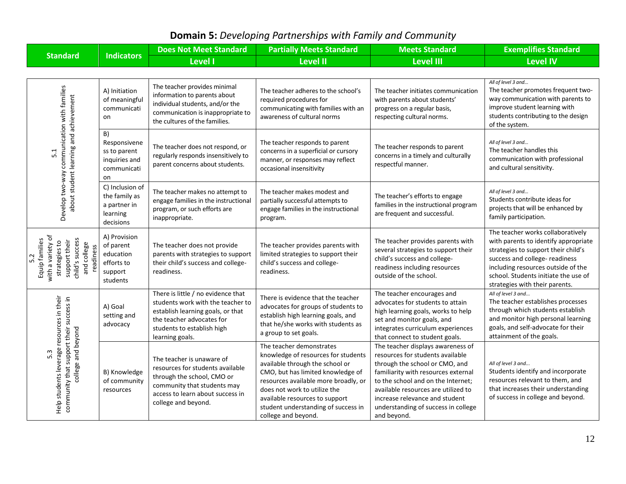| <b>Standard</b>                                                                                                             | <b>Indicators</b>                                                           | <b>Does Not Meet Standard</b>                                                                                                                                                              | <b>Partially Meets Standard</b>                                                                                                                                                                                                                                                                                 | <b>Meets Standard</b>                                                                                                                                                                                                                                                                                               | <b>Exemplifies Standard</b>                                                                                                                                                                                                                                        |
|-----------------------------------------------------------------------------------------------------------------------------|-----------------------------------------------------------------------------|--------------------------------------------------------------------------------------------------------------------------------------------------------------------------------------------|-----------------------------------------------------------------------------------------------------------------------------------------------------------------------------------------------------------------------------------------------------------------------------------------------------------------|---------------------------------------------------------------------------------------------------------------------------------------------------------------------------------------------------------------------------------------------------------------------------------------------------------------------|--------------------------------------------------------------------------------------------------------------------------------------------------------------------------------------------------------------------------------------------------------------------|
|                                                                                                                             |                                                                             | <b>Level I</b>                                                                                                                                                                             | <b>Level II</b>                                                                                                                                                                                                                                                                                                 | <b>Level III</b>                                                                                                                                                                                                                                                                                                    | <b>Level IV</b>                                                                                                                                                                                                                                                    |
|                                                                                                                             |                                                                             |                                                                                                                                                                                            |                                                                                                                                                                                                                                                                                                                 |                                                                                                                                                                                                                                                                                                                     |                                                                                                                                                                                                                                                                    |
| communication with families<br>about student learning and achievement<br>5.1<br>Develop two-way                             | A) Initiation<br>of meaningful<br>communicati<br>on                         | The teacher provides minimal<br>information to parents about<br>individual students, and/or the<br>communication is inappropriate to<br>the cultures of the families.                      | The teacher adheres to the school's<br>required procedures for<br>communicating with families with an<br>awareness of cultural norms                                                                                                                                                                            | The teacher initiates communication<br>with parents about students'<br>progress on a regular basis,<br>respecting cultural norms.                                                                                                                                                                                   | All of level 3 and<br>The teacher promotes frequent two-<br>way communication with parents to<br>improve student learning with<br>students contributing to the design<br>of the system.                                                                            |
|                                                                                                                             | B)<br>Responsivene<br>ss to parent<br>inquiries and<br>communicati<br>on    | The teacher does not respond, or<br>regularly responds insensitively to<br>parent concerns about students.                                                                                 | The teacher responds to parent<br>concerns in a superficial or cursory<br>manner, or responses may reflect<br>occasional insensitivity                                                                                                                                                                          | The teacher responds to parent<br>concerns in a timely and culturally<br>respectful manner.                                                                                                                                                                                                                         | All of level 3 and<br>The teacher handles this<br>communication with professional<br>and cultural sensitivity.                                                                                                                                                     |
|                                                                                                                             | C) Inclusion of<br>the family as<br>a partner in<br>learning<br>decisions   | The teacher makes no attempt to<br>engage families in the instructional<br>program, or such efforts are<br>inappropriate.                                                                  | The teacher makes modest and<br>partially successful attempts to<br>engage families in the instructional<br>program.                                                                                                                                                                                            | The teacher's efforts to engage<br>families in the instructional program<br>are frequent and successful.                                                                                                                                                                                                            | All of level 3 and<br>Students contribute ideas for<br>projects that will be enhanced by<br>family participation.                                                                                                                                                  |
| with a variety of<br>Equip families<br>child's success<br>support their<br>strategies to<br>and college<br>readiness<br>5.2 | A) Provision<br>of parent<br>education<br>efforts to<br>support<br>students | The teacher does not provide<br>parents with strategies to support<br>their child's success and college-<br>readiness.                                                                     | The teacher provides parents with<br>limited strategies to support their<br>child's success and college-<br>readiness.                                                                                                                                                                                          | The teacher provides parents with<br>several strategies to support their<br>child's success and college-<br>readiness including resources<br>outside of the school.                                                                                                                                                 | The teacher works collaboratively<br>with parents to identify appropriate<br>strategies to support their child's<br>success and college- readiness<br>including resources outside of the<br>school. Students initiate the use of<br>strategies with their parents. |
| Help students leverage resources in their<br>community that support their success in<br>college and beyond<br>5.3           | A) Goal<br>setting and<br>advocacy                                          | There is little / no evidence that<br>students work with the teacher to<br>establish learning goals, or that<br>the teacher advocates for<br>students to establish high<br>learning goals. | There is evidence that the teacher<br>advocates for groups of students to<br>establish high learning goals, and<br>that he/she works with students as<br>a group to set goals.                                                                                                                                  | The teacher encourages and<br>advocates for students to attain<br>high learning goals, works to help<br>set and monitor goals, and<br>integrates curriculum experiences<br>that connect to student goals.                                                                                                           | All of level 3 and<br>The teacher establishes processes<br>through which students establish<br>and monitor high personal learning<br>goals, and self-advocate for their<br>attainment of the goals.                                                                |
|                                                                                                                             | B) Knowledge<br>of community<br>resources                                   | The teacher is unaware of<br>resources for students available<br>through the school, CMO or<br>community that students may<br>access to learn about success in<br>college and beyond.      | The teacher demonstrates<br>knowledge of resources for students<br>available through the school or<br>CMO, but has limited knowledge of<br>resources available more broadly, or<br>does not work to utilize the<br>available resources to support<br>student understanding of success in<br>college and beyond. | The teacher displays awareness of<br>resources for students available<br>through the school or CMO, and<br>familiarity with resources external<br>to the school and on the Internet;<br>available resources are utilized to<br>increase relevance and student<br>understanding of success in college<br>and beyond. | All of level 3 and<br>Students identify and incorporate<br>resources relevant to them, and<br>that increases their understanding<br>of success in college and beyond.                                                                                              |